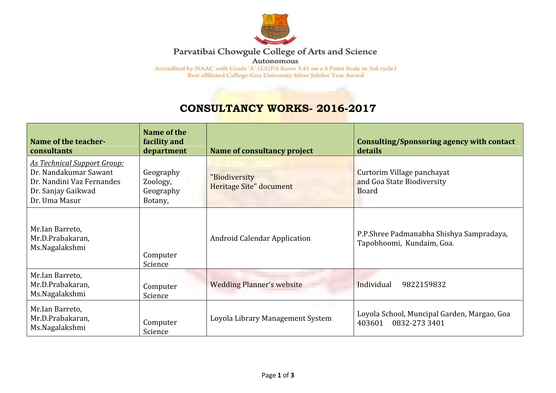

## Parvatibai Chowgule College of Arts and Science

Autonomous

Accredited by NAAC with Grade 'A' (CGPA Score 3.41 on a 4 Point Scale in 3rd cycle) Best affiliated College-Goa University Silver Jubilee Year Award

## **CONSULTANCY WORKS- 2016-2017**

| Name of the teacher-<br>consultants                                                                                             | Name of the<br>facility and<br>department     | Name of consultancy project              | Consulting/Sponsoring agency with contact<br>details                     |
|---------------------------------------------------------------------------------------------------------------------------------|-----------------------------------------------|------------------------------------------|--------------------------------------------------------------------------|
| <b>As Technical Support Group:</b><br>Dr. Nandakumar Sawant<br>Dr. Nandini Vaz Fernandes<br>Dr. Sanjay Gaikwad<br>Dr. Uma Masur | Geography<br>Zoology,<br>Geography<br>Botany, | "Biodiversity<br>Heritage Site" document | Curtorim Village panchayat<br>and Goa State Biodiversity<br><b>Board</b> |
| Mr.Ian Barreto,<br>Mr.D.Prabakaran,<br>Ms.Nagalakshmi                                                                           | Computer<br>Science                           | <b>Android Calendar Application</b>      | P.P.Shree Padmanabha Shishya Sampradaya,<br>Tapobhoomi, Kundaim, Goa.    |
| Mr.Ian Barreto,<br>Mr.D.Prabakaran,<br>Ms.Nagalakshmi                                                                           | Computer<br>Science                           | <b>Wedding Planner's website</b>         | Individual<br>9822159832                                                 |
| Mr.Ian Barreto,<br>Mr.D.Prabakaran,<br>Ms.Nagalakshmi                                                                           | Computer<br>Science                           | Loyola Library Management System         | Loyola School, Muncipal Garden, Margao, Goa<br>403601<br>0832-273 3401   |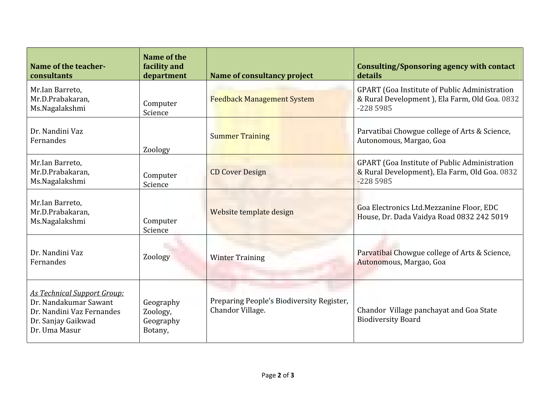| Name of the teacher-<br>consultants                                                                                             | Name of the<br>facility and<br>department     | Name of consultancy project                                   | Consulting/Sponsoring agency with contact<br>details                                                                 |
|---------------------------------------------------------------------------------------------------------------------------------|-----------------------------------------------|---------------------------------------------------------------|----------------------------------------------------------------------------------------------------------------------|
| Mr.Ian Barreto,<br>Mr.D.Prabakaran,<br>Ms.Nagalakshmi                                                                           | Computer<br>Science                           | <b>Feedback Management System</b>                             | <b>GPART</b> (Goa Institute of Public Administration<br>& Rural Development ), Ela Farm, Old Goa. 0832<br>$-2285985$ |
| Dr. Nandini Vaz<br>Fernandes                                                                                                    | Zoology                                       | <b>Summer Training</b>                                        | Parvatibai Chowgue college of Arts & Science,<br>Autonomous, Margao, Goa                                             |
| Mr.Ian Barreto,<br>Mr.D.Prabakaran,<br>Ms.Nagalakshmi                                                                           | Computer<br>Science                           | <b>CD Cover Design</b>                                        | <b>GPART</b> (Goa Institute of Public Administration<br>& Rural Development), Ela Farm, Old Goa. 0832<br>$-2285985$  |
| Mr.Ian Barreto,<br>Mr.D.Prabakaran,<br>Ms.Nagalakshmi                                                                           | Computer<br>Science                           | Website template design                                       | Goa Electronics Ltd.Mezzanine Floor, EDC<br>House, Dr. Dada Vaidya Road 0832 242 5019                                |
| Dr. Nandini Vaz<br>Fernandes                                                                                                    | Zoology                                       | <b>Winter Training</b>                                        | Parvatibai Chowgue college of Arts & Science,<br>Autonomous, Margao, Goa                                             |
| <b>As Technical Support Group:</b><br>Dr. Nandakumar Sawant<br>Dr. Nandini Vaz Fernandes<br>Dr. Sanjay Gaikwad<br>Dr. Uma Masur | Geography<br>Zoology,<br>Geography<br>Botany, | Preparing People's Biodiversity Register,<br>Chandor Village. | Chandor Village panchayat and Goa State<br><b>Biodiversity Board</b>                                                 |